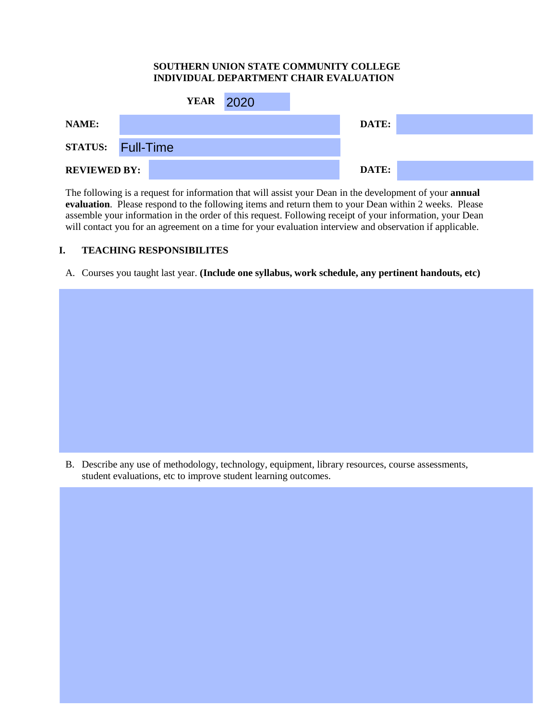#### **SOUTHERN UNION STATE COMMUNITY COLLEGE INDIVIDUAL DEPARTMENT CHAIR EVALUATION**

|                          | <b>YEAR</b> 2020 |  |       |  |
|--------------------------|------------------|--|-------|--|
| NAME:                    |                  |  | DATE: |  |
| <b>STATUS:</b> Full-Time |                  |  |       |  |
| <b>REVIEWED BY:</b>      |                  |  | DATE: |  |

The following is a request for information that will assist your Dean in the development of your **annual evaluation**. Please respond to the following items and return them to your Dean within 2 weeks. Please assemble your information in the order of this request. Following receipt of your information, your Dean will contact you for an agreement on a time for your evaluation interview and observation if applicable.

#### **I. TEACHING RESPONSIBILITES**

A. Courses you taught last year. **(Include one syllabus, work schedule, any pertinent handouts, etc)** 

B. Describe any use of methodology, technology, equipment, library resources, course assessments, student evaluations, etc to improve student learning outcomes.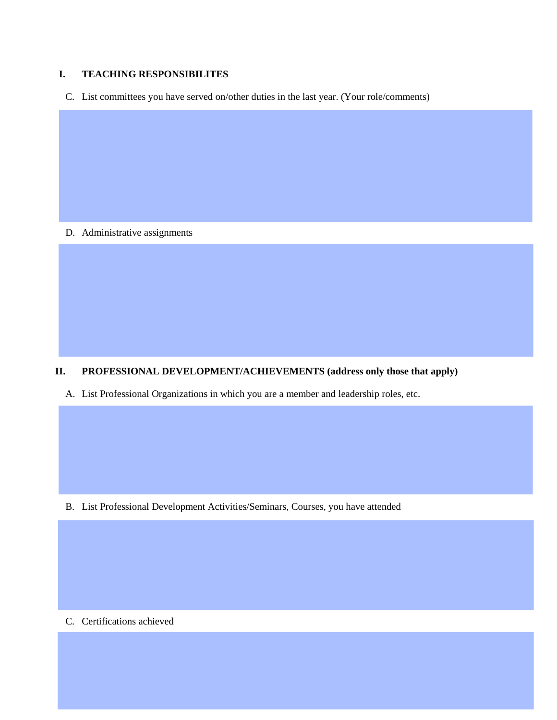#### **I. TEACHING RESPONSIBILITES**

C. List committees you have served on/other duties in the last year. (Your role/comments)

D. Administrative assignments

## **II. PROFESSIONAL DEVELOPMENT/ACHIEVEMENTS (address only those that apply)**

A. List Professional Organizations in which you are a member and leadership roles, etc.

B. List Professional Development Activities/Seminars, Courses, you have attended

C. Certifications achieved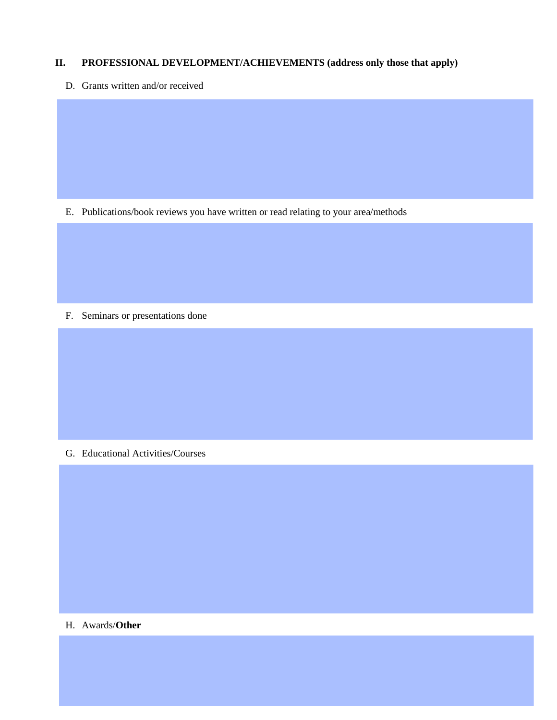### **II. PROFESSIONAL DEVELOPMENT/ACHIEVEMENTS (address only those that apply)**

D. Grants written and/or received

E. Publications/book reviews you have written or read relating to your area/methods

F. Seminars or presentations done

G. Educational Activities/Courses

H. Awards/**Other**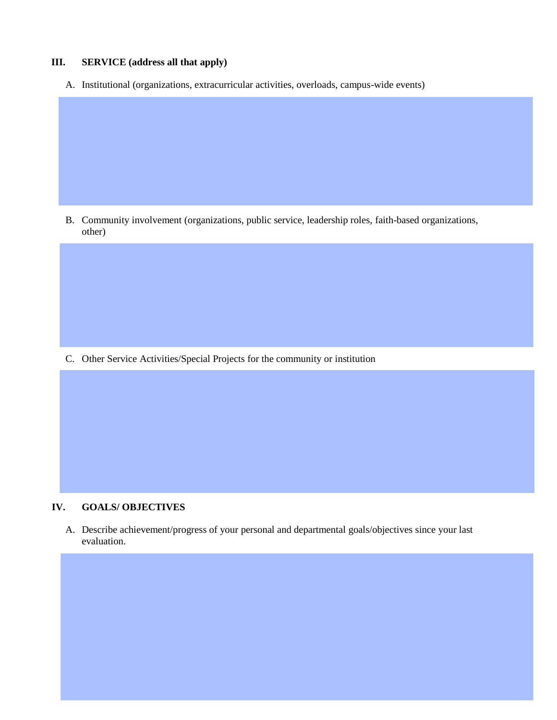## **III. SERVICE (address all that apply)**

A. Institutional (organizations, extracurricular activities, overloads, campus-wide events)

B. Community involvement (organizations, public service, leadership roles, faith-based organizations, other)

C. Other Service Activities/Special Projects for the community or institution

#### **IV. GOALS/ OBJECTIVES**

A. Describe achievement/progress of your personal and departmental goals/objectives since your last evaluation.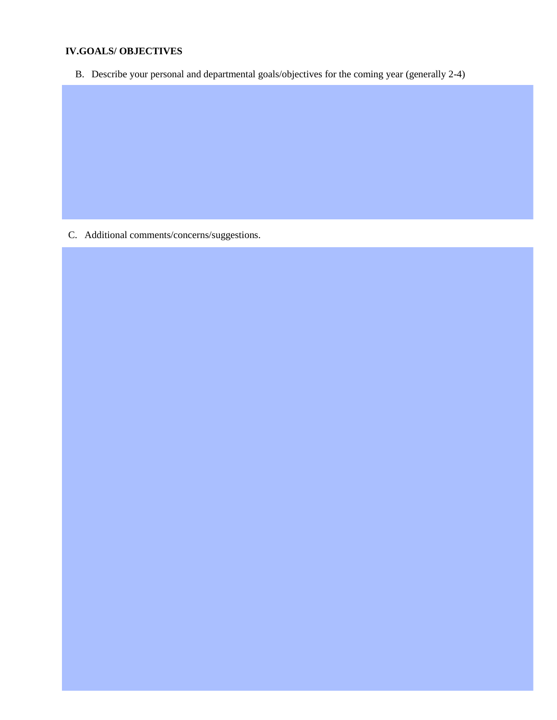### **IV.GOALS/ OBJECTIVES**

B. Describe your personal and departmental goals/objectives for the coming year (generally 2-4)

C. Additional comments/concerns/suggestions.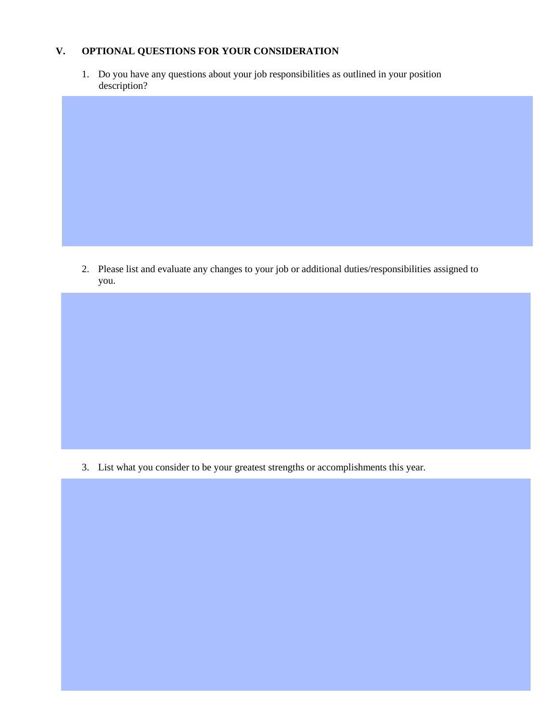### **V. OPTIONAL QUESTIONS FOR YOUR CONSIDERATION**

1. Do you have any questions about your job responsibilities as outlined in your position description?

2. Please list and evaluate any changes to your job or additional duties/responsibilities assigned to you.

3. List what you consider to be your greatest strengths or accomplishments this year.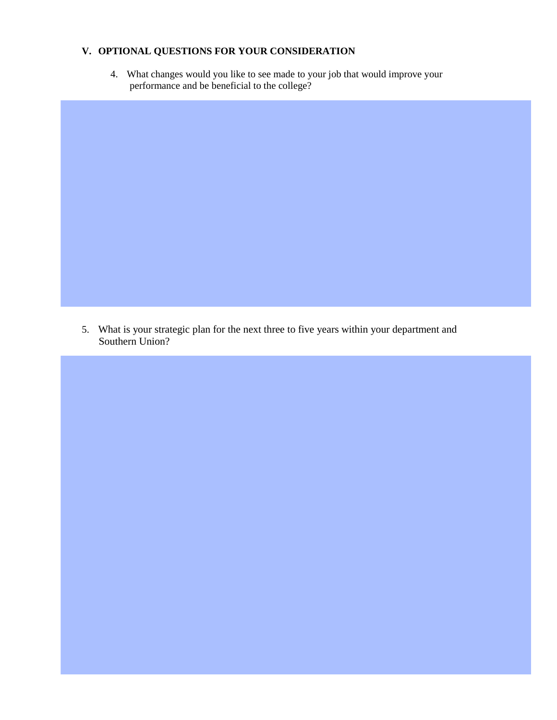### **V. OPTIONAL QUESTIONS FOR YOUR CONSIDERATION**

4. What changes would you like to see made to your job that would improve your performance and be beneficial to the college?

5. What is your strategic plan for the next three to five years within your department and Southern Union?

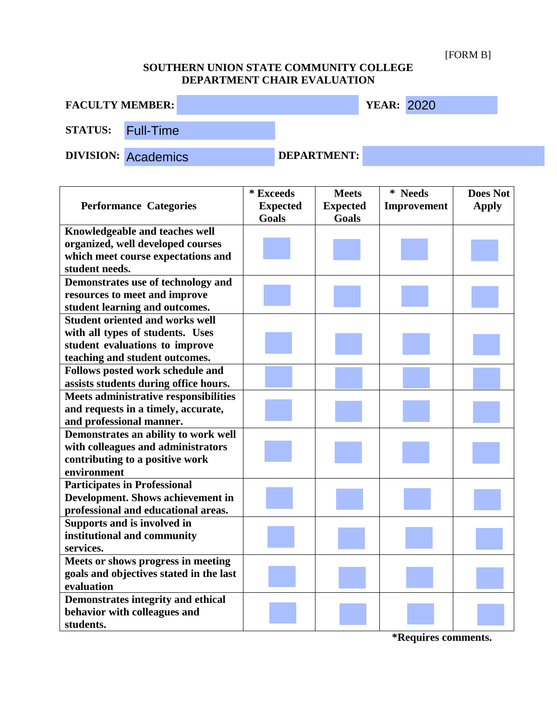[FORM B]

# **SOUTHERN UNION STATE COMMUNITY COLLEGE DEPARTMENT CHAIR EVALUATION**

| <b>FACULTY MEMBER:</b>   |                            |                    | <b>YEAR: 2020</b> |  |
|--------------------------|----------------------------|--------------------|-------------------|--|
| <b>STATUS:</b> Full-Time |                            |                    |                   |  |
|                          | <b>DIVISION: Academics</b> | <b>DEPARTMENT:</b> |                   |  |

|                                          | * Exceeds       | <b>Meets</b>    | * Needs     | <b>Does Not</b> |
|------------------------------------------|-----------------|-----------------|-------------|-----------------|
| <b>Performance Categories</b>            | <b>Expected</b> | <b>Expected</b> | Improvement | <b>Apply</b>    |
|                                          | <b>Goals</b>    | Goals           |             |                 |
| Knowledgeable and teaches well           |                 |                 |             |                 |
| organized, well developed courses        |                 |                 |             |                 |
| which meet course expectations and       |                 |                 |             |                 |
| student needs.                           |                 |                 |             |                 |
| Demonstrates use of technology and       |                 |                 |             |                 |
| resources to meet and improve            |                 |                 |             |                 |
| student learning and outcomes.           |                 |                 |             |                 |
| <b>Student oriented and works well</b>   |                 |                 |             |                 |
| with all types of students. Uses         |                 |                 |             |                 |
| student evaluations to improve           |                 |                 |             |                 |
| teaching and student outcomes.           |                 |                 |             |                 |
| Follows posted work schedule and         |                 |                 |             |                 |
| assists students during office hours.    |                 |                 |             |                 |
| Meets administrative responsibilities    |                 |                 |             |                 |
| and requests in a timely, accurate,      |                 |                 |             |                 |
| and professional manner.                 |                 |                 |             |                 |
| Demonstrates an ability to work well     |                 |                 |             |                 |
| with colleagues and administrators       |                 |                 |             |                 |
| contributing to a positive work          |                 |                 |             |                 |
| environment                              |                 |                 |             |                 |
| <b>Participates in Professional</b>      |                 |                 |             |                 |
| <b>Development. Shows achievement in</b> |                 |                 |             |                 |
| professional and educational areas.      |                 |                 |             |                 |
| Supports and is involved in              |                 |                 |             |                 |
| institutional and community              |                 |                 |             |                 |
| services.                                |                 |                 |             |                 |
| Meets or shows progress in meeting       |                 |                 |             |                 |
| goals and objectives stated in the last  |                 |                 |             |                 |
| evaluation                               |                 |                 |             |                 |
| Demonstrates integrity and ethical       |                 |                 |             |                 |
| behavior with colleagues and             |                 |                 |             |                 |
| students.                                |                 |                 |             |                 |

**\*Requires comments.**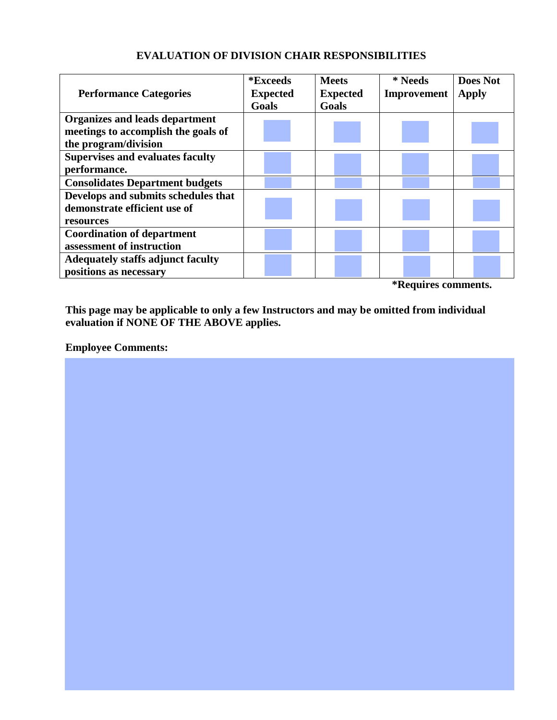# **EVALUATION OF DIVISION CHAIR RESPONSIBILITIES**

| <b>Performance Categories</b>            | <i><b>*Exceeds</b></i><br><b>Expected</b><br><b>Goals</b> | <b>Meets</b><br><b>Expected</b><br><b>Goals</b> | * Needs<br><b>Improvement</b> | <b>Does Not</b><br><b>Apply</b> |
|------------------------------------------|-----------------------------------------------------------|-------------------------------------------------|-------------------------------|---------------------------------|
| <b>Organizes and leads department</b>    |                                                           |                                                 |                               |                                 |
| meetings to accomplish the goals of      |                                                           |                                                 |                               |                                 |
| the program/division                     |                                                           |                                                 |                               |                                 |
| <b>Supervises and evaluates faculty</b>  |                                                           |                                                 |                               |                                 |
| performance.                             |                                                           |                                                 |                               |                                 |
| <b>Consolidates Department budgets</b>   |                                                           |                                                 |                               |                                 |
| Develops and submits schedules that      |                                                           |                                                 |                               |                                 |
| demonstrate efficient use of             |                                                           |                                                 |                               |                                 |
| resources                                |                                                           |                                                 |                               |                                 |
| <b>Coordination of department</b>        |                                                           |                                                 |                               |                                 |
| assessment of instruction                |                                                           |                                                 |                               |                                 |
| <b>Adequately staffs adjunct faculty</b> |                                                           |                                                 |                               |                                 |
| positions as necessary                   |                                                           |                                                 |                               |                                 |

**\*Requires comments.**

**This page may be applicable to only a few Instructors and may be omitted from individual evaluation if NONE OF THE ABOVE applies.**

## **Employee Comments:**